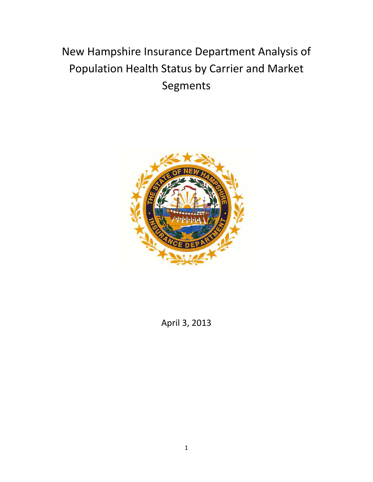# New Hampshire Insurance Department Analysis of Population Health Status by Carrier and Market Segments



April 3, 2013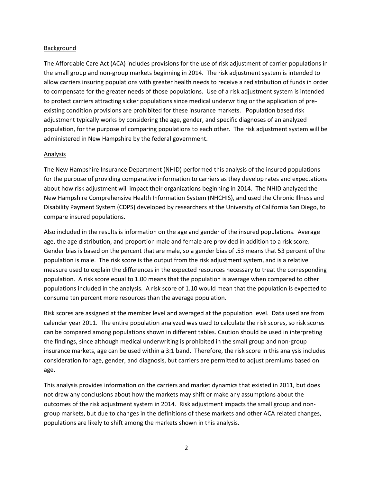# Background

The Affordable Care Act (ACA) includes provisions for the use of risk adjustment of carrier populations in the small group and non-group markets beginning in 2014. The risk adjustment system is intended to allow carriers insuring populations with greater health needs to receive a redistribution of funds in order to compensate for the greater needs of those populations. Use of a risk adjustment system is intended to protect carriers attracting sicker populations since medical underwriting or the application of preexisting condition provisions are prohibited for these insurance markets. Population based risk adjustment typically works by considering the age, gender, and specific diagnoses of an analyzed population, for the purpose of comparing populations to each other. The risk adjustment system will be administered in New Hampshire by the federal government.

# Analysis

The New Hampshire Insurance Department (NHID) performed this analysis of the insured populations for the purpose of providing comparative information to carriers as they develop rates and expectations about how risk adjustment will impact their organizations beginning in 2014. The NHID analyzed the New Hampshire Comprehensive Health Information System (NHCHIS), and used the Chronic Illness and Disability Payment System (CDPS) developed by researchers at the University of California San Diego, to compare insured populations.

Also included in the results is information on the age and gender of the insured populations. Average age, the age distribution, and proportion male and female are provided in addition to a risk score. Gender bias is based on the percent that are male, so a gender bias of .53 means that 53 percent of the population is male. The risk score is the output from the risk adjustment system, and is a relative measure used to explain the differences in the expected resources necessary to treat the corresponding population. A risk score equal to 1.00 means that the population is average when compared to other populations included in the analysis. A risk score of 1.10 would mean that the population is expected to consume ten percent more resources than the average population.

Risk scores are assigned at the member level and averaged at the population level. Data used are from calendar year 2011. The entire population analyzed was used to calculate the risk scores, so risk scores can be compared among populations shown in different tables. Caution should be used in interpreting the findings, since although medical underwriting is prohibited in the small group and non-group insurance markets, age can be used within a 3:1 band. Therefore, the risk score in this analysis includes consideration for age, gender, and diagnosis, but carriers are permitted to adjust premiums based on age.

This analysis provides information on the carriers and market dynamics that existed in 2011, but does not draw any conclusions about how the markets may shift or make any assumptions about the outcomes of the risk adjustment system in 2014. Risk adjustment impacts the small group and nongroup markets, but due to changes in the definitions of these markets and other ACA related changes, populations are likely to shift among the markets shown in this analysis.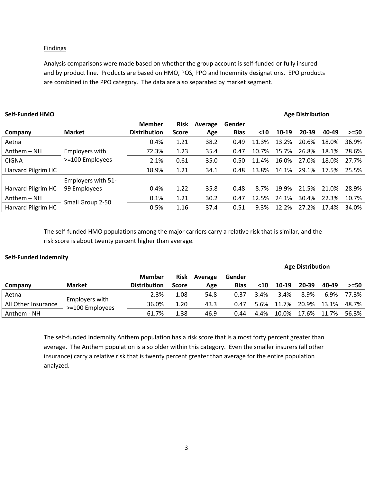## **Findings**

Analysis comparisons were made based on whether the group account is self-funded or fully insured and by product line. Products are based on HMO, POS, PPO and Indemnity designations. EPO products are combined in the PPO category. The data are also separated by market segment.

| <b>Self-Funded HMO</b> |                    |                     |              |         |             |       |       | <b>Age Distribution</b> |       |        |
|------------------------|--------------------|---------------------|--------------|---------|-------------|-------|-------|-------------------------|-------|--------|
|                        |                    | Member              | <b>Risk</b>  | Average | Gender      |       |       |                         |       |        |
| Company                | <b>Market</b>      | <b>Distribution</b> | <b>Score</b> | Age     | <b>Bias</b> | $10$  | 10-19 | $20 - 39$               | 40-49 | $>=50$ |
| Aetna                  |                    | 0.4%                | 1.21         | 38.2    | 0.49        | 11.3% | 13.2% | 20.6%                   | 18.0% | 36.9%  |
| $Anthem - NH$          | Employers with     | 72.3%               | 1.23         | 35.4    | 0.47        | 10.7% | 15.7% | 26.8%                   | 18.1% | 28.6%  |
| <b>CIGNA</b>           | >=100 Employees    | 2.1%                | 0.61         | 35.0    | 0.50        | 11.4% | 16.0% | 27.0%                   | 18.0% | 27.7%  |
| Harvard Pilgrim HC     |                    | 18.9%               | 1.21         | 34.1    | 0.48        | 13.8% | 14.1% | 29.1%                   | 17.5% | 25.5%  |
|                        | Employers with 51- |                     |              |         |             |       |       |                         |       |        |
| Harvard Pilgrim HC     | 99 Employees       | 0.4%                | 1.22         | 35.8    | 0.48        | 8.7%  | 19.9% | 21.5%                   | 21.0% | 28.9%  |
| Anthem – NH            | Small Group 2-50   | 0.1%                | 1.21         | 30.2    | 0.47        | 12.5% | 24.1% | 30.4%                   | 22.3% | 10.7%  |
| Harvard Pilgrim HC     |                    | 0.5%                | 1.16         | 37.4    | 0.51        | 9.3%  | 12.2% | 27.2%                   | 17.4% | 34.0%  |

The self-funded HMO populations among the major carriers carry a relative risk that is similar, and the risk score is about twenty percent higher than average.

# **Self-Funded Indemnity**

|                     |                                   |                     |              |         |             |      |         | <b>Age Distribution</b> |       |        |
|---------------------|-----------------------------------|---------------------|--------------|---------|-------------|------|---------|-------------------------|-------|--------|
|                     |                                   | <b>Member</b>       | <b>Risk</b>  | Average | Gender      |      |         |                         |       |        |
| Company             | <b>Market</b>                     | <b>Distribution</b> | <b>Score</b> | Age     | <b>Bias</b> | $10$ | $10-19$ | 20-39                   | 40-49 | $>=50$ |
| Aetna               |                                   | 2.3%                | 1.08         | 54.8    | 0.37        | 3.4% | 3.4%    | 8.9%                    | 6.9%  | 77.3%  |
| All Other Insurance | Employers with<br>>=100 Employees | 36.0%               | 1.20         | 43.3    | 0.47        | 5.6% | 11.7%   | 20.9%                   | 13.1% | 48.7%  |
| Anthem - NH         |                                   | 61.7%               | 1.38         | 46.9    | 0.44        | 4.4% | 10.0%   | 17.6%                   | 11.7% | 56.3%  |

The self-funded Indemnity Anthem population has a risk score that is almost forty percent greater than average. The Anthem population is also older within this category. Even the smaller insurers (all other insurance) carry a relative risk that is twenty percent greater than average for the entire population analyzed.

# 3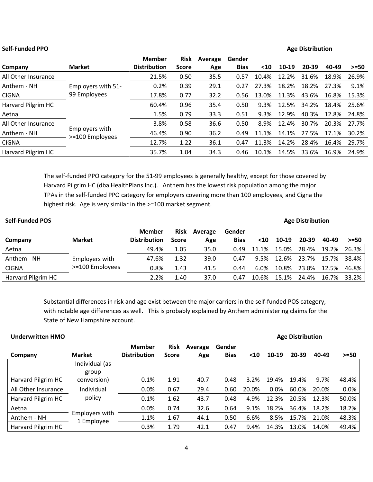## **Self-Funded PPO Age Distribution**

|                     |                                   | <b>Member</b>       | <b>Risk</b>  | Average | Gender      |       |       |           |       |        |
|---------------------|-----------------------------------|---------------------|--------------|---------|-------------|-------|-------|-----------|-------|--------|
| Company             | <b>Market</b>                     | <b>Distribution</b> | <b>Score</b> | Age     | <b>Bias</b> | $10$  | 10-19 | $20 - 39$ | 40-49 | $>=50$ |
| All Other Insurance |                                   | 21.5%               | 0.50         | 35.5    | 0.57        | 10.4% | 12.2% | 31.6%     | 18.9% | 26.9%  |
| Anthem - NH         | Employers with 51-                | 0.2%                | 0.39         | 29.1    | 0.27        | 27.3% | 18.2% | 18.2%     | 27.3% | 9.1%   |
| <b>CIGNA</b>        | 99 Employees                      | 17.8%               | 0.77         | 32.2    | 0.56        | 13.0% | 11.3% | 43.6%     | 16.8% | 15.3%  |
| Harvard Pilgrim HC  |                                   | 60.4%               | 0.96         | 35.4    | 0.50        | 9.3%  | 12.5% | 34.2%     | 18.4% | 25.6%  |
| Aetna               |                                   | 1.5%                | 0.79         | 33.3    | 0.51        | 9.3%  | 12.9% | 40.3%     | 12.8% | 24.8%  |
| All Other Insurance |                                   | 3.8%                | 0.58         | 36.6    | 0.50        | 8.9%  | 12.4% | 30.7%     | 20.3% | 27.7%  |
| Anthem - NH         | Employers with<br>>=100 Employees | 46.4%               | 0.90         | 36.2    | 0.49        | 11.1% | 14.1% | 27.5%     | 17.1% | 30.2%  |
| <b>CIGNA</b>        |                                   | 12.7%               | 1.22         | 36.1    | 0.47        | 11.3% | 14.2% | 28.4%     | 16.4% | 29.7%  |
| Harvard Pilgrim HC  |                                   | 35.7%               | 1.04         | 34.3    | 0.46        | 10.1% | 14.5% | 33.6%     | 16.9% | 24.9%  |

The self-funded PPO category for the 51-99 employees is generally healthy, except for those covered by Harvard Pilgrim HC (dba HealthPlans Inc.). Anthem has the lowest risk population among the major TPAs in the self-funded PPO category for employers covering more than 100 employees, and Cigna the highest risk. Age is very similar in the >=100 market segment.

| <b>Self-Funded POS</b> |                 |                     |              |         |             |       |       | <b>Age Distribution</b> |       |          |
|------------------------|-----------------|---------------------|--------------|---------|-------------|-------|-------|-------------------------|-------|----------|
|                        |                 | Member              | <b>Risk</b>  | Average | Gender      |       |       |                         |       |          |
| Company                | <b>Market</b>   | <b>Distribution</b> | <b>Score</b> | Age     | <b>Bias</b> | $10$  | 10-19 | 20-39                   | 40-49 | $>=50$   |
| Aetna                  |                 | 49.4%               | 1.05         | 35.0    | 0.49        | 11.1% | 15.0% | 28.4%                   | 19.2% | 26.3% 1  |
| Anthem - NH            | Employers with  | 47.6%               | 1.32         | 39.0    | 0.47        | 9.5%  | 12.6% | 23.7%                   | 15.7% | 38.4%    |
| <b>CIGNA</b>           | >=100 Employees | 0.8%                | 1.43         | 41.5    | 0.44        | 6.0%  | 10.8% | 23.8%                   | 12.5% | 46.8%    |
| Harvard Pilgrim HC     |                 | 2.2%                | 1.40         | 37.0    | 0.47        | 10.6% | 15.1% | 24.4%                   | 16.7% | $33.2\%$ |

Substantial differences in risk and age exist between the major carriers in the self-funded POS category, with notable age differences as well. This is probably explained by Anthem administering claims for the State of New Hampshire account.

| <b>Underwritten HMO</b> |                              |                     |              |         |             |       |       | <b>Age Distribution</b> |       |        |
|-------------------------|------------------------------|---------------------|--------------|---------|-------------|-------|-------|-------------------------|-------|--------|
|                         |                              | <b>Member</b>       | <b>Risk</b>  | Average | Gender      |       |       |                         |       |        |
| Company                 | <b>Market</b>                | <b>Distribution</b> | <b>Score</b> | Age     | <b>Bias</b> | <10   | 10-19 | 20-39                   | 40-49 | $>=50$ |
|                         | Individual (as               |                     |              |         |             |       |       |                         |       |        |
|                         | group                        |                     |              |         |             |       |       |                         |       |        |
| Harvard Pilgrim HC      | conversion)                  | 0.1%                | 1.91         | 40.7    | 0.48        | 3.2%  | 19.4% | 19.4%                   | 9.7%  | 48.4%  |
| All Other Insurance     | Individual                   | 0.0%                | 0.67         | 29.4    | 0.60        | 20.0% | 0.0%  | 60.0%                   | 20.0% | 0.0%   |
| Harvard Pilgrim HC      | policy                       | 0.1%                | 1.62         | 43.7    | 0.48        | 4.9%  | 12.3% | 20.5%                   | 12.3% | 50.0%  |
| Aetna                   |                              | 0.0%                | 0.74         | 32.6    | 0.64        | 9.1%  | 18.2% | 36.4%                   | 18.2% | 18.2%  |
| Anthem - NH             | Employers with<br>1 Employee | 1.1%                | 1.67         | 44.1    | 0.50        | 6.6%  | 8.5%  | 15.7%                   | 21.0% | 48.3%  |
| Harvard Pilgrim HC      |                              | 0.3%                | 1.79         | 42.1    | 0.47        | 9.4%  | 14.3% | 13.0%                   | 14.0% | 49.4%  |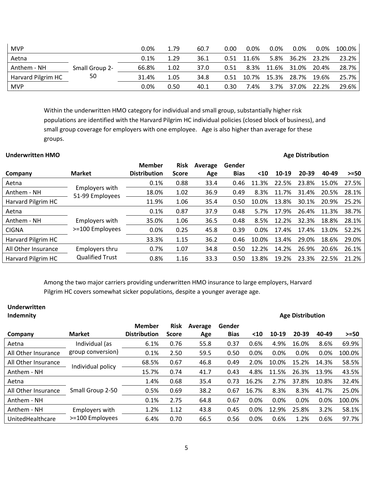| <b>MVP</b>         |                | $0.0\%$ | 1.79 | 60.7 | 0.00 | $0.0\%$ | $0.0\%$ | 0.0%  | 0.0%  | 100.0% |
|--------------------|----------------|---------|------|------|------|---------|---------|-------|-------|--------|
| Aetna              |                | 0.1%    | 1.29 | 36.1 | 0.51 | 11.6%   | 5.8%    | 36.2% | 23.2% | 23.2%  |
| Anthem - NH        | Small Group 2- | 66.8%   | 1.02 | 37.0 | 0.51 | 8.3%    | 11.6%   | 31.0% | 20.4% | 28.7%  |
| Harvard Pilgrim HC | 50             | 31.4%   | 1.05 | 34.8 | 0.51 | 10.7%   | 15.3%   | 28.7% | 19.6% | 25.7%  |
| <b>MVP</b>         |                | $0.0\%$ | 0.50 | 40.1 | 0.30 | 7.4%    | $3.7\%$ | 37.0% | 22.2% | 29.6%  |

Within the underwritten HMO category for individual and small group, substantially higher risk populations are identified with the Harvard Pilgrim HC individual policies (closed block of business), and small group coverage for employers with one employee. Age is also higher than average for these groups.

| <b>Underwritten HMO</b> |                                   |                     |              |         |             |       |         | <b>Age Distribution</b> |       |        |
|-------------------------|-----------------------------------|---------------------|--------------|---------|-------------|-------|---------|-------------------------|-------|--------|
|                         |                                   | <b>Member</b>       | <b>Risk</b>  | Average | Gender      |       |         |                         |       |        |
| Company                 | <b>Market</b>                     | <b>Distribution</b> | <b>Score</b> | Age     | <b>Bias</b> | $10$  | $10-19$ | 20-39                   | 40-49 | $>=50$ |
| Aetna                   |                                   | 0.1%                | 0.88         | 33.4    | 0.46        | 11.3% | 22.5%   | 23.8%                   | 15.0% | 27.5%  |
| Anthem - NH             | Employers with<br>51-99 Employees | 18.0%               | 1.02         | 36.9    | 0.49        | 8.3%  | 11.7%   | 31.4%                   | 20.5% | 28.1%  |
| Harvard Pilgrim HC      |                                   | 11.9%               | 1.06         | 35.4    | 0.50        | 10.0% | 13.8%   | 30.1%                   | 20.9% | 25.2%  |
| Aetna                   |                                   | 0.1%                | 0.87         | 37.9    | 0.48        | 5.7%  | 17.9%   | 26.4%                   | 11.3% | 38.7%  |
| Anthem - NH             | Employers with                    | 35.0%               | 1.06         | 36.5    | 0.48        | 8.5%  | 12.2%   | 32.3%                   | 18.8% | 28.1%  |
| <b>CIGNA</b>            | >=100 Employees                   | 0.0%                | 0.25         | 45.8    | 0.39        | 0.0%  | 17.4%   | 17.4%                   | 13.0% | 52.2%  |
| Harvard Pilgrim HC      |                                   | 33.3%               | 1.15         | 36.2    | 0.46        | 10.0% | 13.4%   | 29.0%                   | 18.6% | 29.0%  |
| All Other Insurance     | Employers thru                    | 0.7%                | 1.07         | 34.8    | 0.50        | 12.2% | 14.2%   | 26.9%                   | 20.6% | 26.1%  |
| Harvard Pilgrim HC      | <b>Qualified Trust</b>            | 0.8%                | 1.16         | 33.3    | 0.50        | 13.8% | 19.2%   | 23.3%                   | 22.5% | 21.2%  |

Among the two major carriers providing underwritten HMO insurance to large employers, Harvard Pilgrim HC covers somewhat sicker populations, despite a younger average age.

| Underwritten<br>Indemnity |                   |                     |              |         |             |       |       | <b>Age Distribution</b> |       |        |
|---------------------------|-------------------|---------------------|--------------|---------|-------------|-------|-------|-------------------------|-------|--------|
|                           |                   | Member              | <b>Risk</b>  | Average | Gender      |       |       |                         |       |        |
| Company                   | <b>Market</b>     | <b>Distribution</b> | <b>Score</b> | Age     | <b>Bias</b> | $10$  | 10-19 | 20-39                   | 40-49 | $>=50$ |
| Aetna                     | Individual (as    | 6.1%                | 0.76         | 55.8    | 0.37        | 0.6%  | 4.9%  | 16.0%                   | 8.6%  | 69.9%  |
| All Other Insurance       | group conversion) | 0.1%                | 2.50         | 59.5    | 0.50        | 0.0%  | 0.0%  | 0.0%                    | 0.0%  | 100.0% |
| All Other Insurance       | Individual policy | 68.5%               | 0.67         | 46.8    | 0.49        | 2.0%  | 10.0% | 15.2%                   | 14.3% | 58.5%  |
| Anthem - NH               |                   | 15.7%               | 0.74         | 41.7    | 0.43        | 4.8%  | 11.5% | 26.3%                   | 13.9% | 43.5%  |
| Aetna                     |                   | 1.4%                | 0.68         | 35.4    | 0.73        | 16.2% | 2.7%  | 37.8%                   | 10.8% | 32.4%  |
| All Other Insurance       | Small Group 2-50  | 0.5%                | 0.69         | 38.2    | 0.67        | 16.7% | 8.3%  | 8.3%                    | 41.7% | 25.0%  |
| Anthem - NH               |                   | 0.1%                | 2.75         | 64.8    | 0.67        | 0.0%  | 0.0%  | 0.0%                    | 0.0%  | 100.0% |
| Anthem - NH               | Employers with    | 1.2%                | 1.12         | 43.8    | 0.45        | 0.0%  | 12.9% | 25.8%                   | 3.2%  | 58.1%  |
| UnitedHealthcare          | >=100 Employees   | 6.4%                | 0.70         | 66.5    | 0.56        | 0.0%  | 0.6%  | 1.2%                    | 0.6%  | 97.7%  |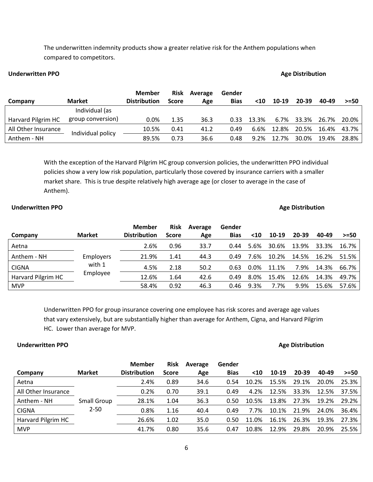The underwritten indemnity products show a greater relative risk for the Anthem populations when compared to competitors.

# **Underwritten PPO Age Distribution**

|                     |                   | <b>Member</b>       | <b>Risk</b> | Average | Gender      |       |       |           |       |        |
|---------------------|-------------------|---------------------|-------------|---------|-------------|-------|-------|-----------|-------|--------|
| Company             | <b>Market</b>     | <b>Distribution</b> | Score       | Age     | <b>Bias</b> | $10$  | 10-19 | $20 - 39$ | 40-49 | $>=50$ |
|                     | Individual (as    |                     |             |         |             |       |       |           |       |        |
| Harvard Pilgrim HC  | group conversion) | $0.0\%$             | 1.35        | 36.3    | 0.33        | 13.3% | 6.7%  | 33.3%     | 26.7% | 20.0%  |
| All Other Insurance | Individual policy | 10.5%               | 0.41        | 41.2    | 0.49        | 6.6%  | 12.8% | 20.5%     | 16.4% | 43.7%  |
| Anthem - NH         |                   | 89.5%               | 0.73        | 36.6    | 0.48        | 9.2%  | 12.7% | 30.0%     | 19.4% | 28.8%  |

With the exception of the Harvard Pilgrim HC group conversion policies, the underwritten PPO individual policies show a very low risk population, particularly those covered by insurance carriers with a smaller market share. This is true despite relatively high average age (or closer to average in the case of Anthem).

# **Underwritten PPO Age Distribution**

|                    |                  | <b>Member</b>       | <b>Risk</b>  | Average | Gender      |         |       |       |       |        |
|--------------------|------------------|---------------------|--------------|---------|-------------|---------|-------|-------|-------|--------|
| Company            | <b>Market</b>    | <b>Distribution</b> | <b>Score</b> | Age     | <b>Bias</b> | $10$    | 10-19 | 20-39 | 40-49 | $>=50$ |
| Aetna              |                  | 2.6%                | 0.96         | 33.7    | 0.44        | 5.6%    | 30.6% | 13.9% | 33.3% | 16.7%  |
| Anthem - NH        | <b>Employers</b> | 21.9%               | 1.41         | 44.3    | 0.49        | 7.6%    | 10.2% | 14.5% | 16.2% | 51.5%  |
| <b>CIGNA</b>       | with 1           | 4.5%                | 2.18         | 50.2    | 0.63        | $0.0\%$ | 11.1% | 7.9%  | 14.3% | 66.7%  |
| Harvard Pilgrim HC | Employee         | 12.6%               | 1.64         | 42.6    | 0.49        | 8.0%    | 15.4% | 12.6% | 14.3% | 49.7%  |
| <b>MVP</b>         |                  | 58.4%               | 0.92         | 46.3    | 0.46        | 9.3%    | 7.7%  | 9.9%  | 15.6% | 57.6%  |

Underwritten PPO for group insurance covering one employee has risk scores and average age values that vary extensively, but are substantially higher than average for Anthem, Cigna, and Harvard Pilgrim HC. Lower than average for MVP.

# **Underwritten PPO Age Distribution**

|                     |                    | Member              | <b>Risk</b>  | Average | Gender      |       |       |           |       |        |
|---------------------|--------------------|---------------------|--------------|---------|-------------|-------|-------|-----------|-------|--------|
| Company             | <b>Market</b>      | <b>Distribution</b> | <b>Score</b> | Age     | <b>Bias</b> | $10$  | 10-19 | $20 - 39$ | 40-49 | $>=50$ |
| Aetna               |                    | 2.4%                | 0.89         | 34.6    | 0.54        | 10.2% | 15.5% | 29.1%     | 20.0% | 25.3%  |
| All Other Insurance |                    | 0.2%                | 0.70         | 39.1    | 0.49        | 4.2%  | 12.5% | 33.3%     | 12.5% | 37.5%  |
| Anthem - NH         | <b>Small Group</b> | 28.1%               | 1.04         | 36.3    | 0.50        | 10.5% | 13.8% | 27.3%     | 19.2% | 29.2%  |
| <b>CIGNA</b>        | $2 - 50$           | 0.8%                | 1.16         | 40.4    | 0.49        | 7.7%  | 10.1% | 21.9%     | 24.0% | 36.4%  |
| Harvard Pilgrim HC  |                    | 26.6%               | 1.02         | 35.0    | 0.50        | 11.0% | 16.1% | 26.3%     | 19.3% | 27.3%  |
| <b>MVP</b>          |                    | 41.7%               | 0.80         | 35.6    | 0.47        | 10.8% | 12.9% | 29.8%     | 20.9% | 25.5%  |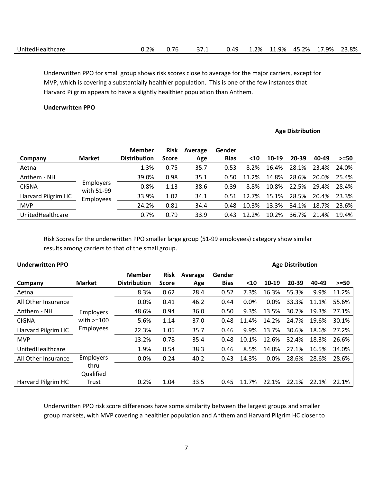|  | $\sim$<br>Jnı<br>- ~<br>---<br>uncare<br>:unt<br>$\blacksquare$ | 2%<br>. | $\sim$<br>$\sqrt{2}$<br>ັ. | $\sim$ $-$<br>57.1 | . ٥٨<br>◡.⊤。 | 2%، | 11.9% | $\Lambda$<br>ን%<br>70<br>ے.ر۔ | 17.9% | 23.8% |
|--|-----------------------------------------------------------------|---------|----------------------------|--------------------|--------------|-----|-------|-------------------------------|-------|-------|
|--|-----------------------------------------------------------------|---------|----------------------------|--------------------|--------------|-----|-------|-------------------------------|-------|-------|

Underwritten PPO for small group shows risk scores close to average for the major carriers, except for MVP, which is covering a substantially healthier population. This is one of the few instances that Harvard Pilgrim appears to have a slightly healthier population than Anthem.

# **Underwritten PPO**

# **Age Distribution**

|                    |                                             | <b>Member</b>       | <b>Risk</b>  | Average | Gender      |       |       |       |       |        |
|--------------------|---------------------------------------------|---------------------|--------------|---------|-------------|-------|-------|-------|-------|--------|
| Company            | <b>Market</b>                               | <b>Distribution</b> | <b>Score</b> | Age     | <b>Bias</b> | $10$  | 10-19 | 20-39 | 40-49 | $>=50$ |
| Aetna              |                                             | 1.3%                | 0.75         | 35.7    | 0.53        | 8.2%  | 16.4% | 28.1% | 23.4% | 24.0%  |
| Anthem - NH        |                                             | 39.0%               | 0.98         | 35.1    | 0.50        | 11.2% | 14.8% | 28.6% | 20.0% | 25.4%  |
| <b>CIGNA</b>       | <b>Employers</b><br>with 51-99<br>Employees | 0.8%                | 1.13         | 38.6    | 0.39        | 8.8%  | 10.8% | 22.5% | 29.4% | 28.4%  |
| Harvard Pilgrim HC |                                             | 33.9%               | 1.02         | 34.1    | 0.51        | 12.7% | 15.1% | 28.5% | 20.4% | 23.3%  |
| <b>MVP</b>         |                                             | 24.2%               | 0.81         | 34.4    | 0.48        | 10.3% | 13.3% | 34.1% | 18.7% | 23.6%  |
| UnitedHealthcare   |                                             | 0.7%                | 0.79         | 33.9    | 0.43        | 12.2% | 10.2% | 36.7% | 21.4% | 19.4%  |

Risk Scores for the underwritten PPO smaller large group (51-99 employees) category show similar results among carriers to that of the small group.

| <b>Underwritten PPO</b> |               |                     |              |         |             | <b>Age Distribution</b> |       |       |       |        |
|-------------------------|---------------|---------------------|--------------|---------|-------------|-------------------------|-------|-------|-------|--------|
|                         |               | Member              | Risk         | Average | Gender      |                         |       |       |       |        |
| Company                 | <b>Market</b> | <b>Distribution</b> | <b>Score</b> | Age     | <b>Bias</b> | $10$                    | 10-19 | 20-39 | 40-49 | $>=50$ |
| Aetna                   |               | 8.3%                | 0.62         | 28.4    | 0.52        | 7.3%                    | 16.3% | 55.3% | 9.9%  | 11.2%  |
| All Other Insurance     |               | 0.0%                | 0.41         | 46.2    | 0.44        | 0.0%                    | 0.0%  | 33.3% | 11.1% | 55.6%  |
| Anthem - NH             | Employers     | 48.6%               | 0.94         | 36.0    | 0.50        | 9.3%                    | 13.5% | 30.7% | 19.3% | 27.1%  |
| <b>CIGNA</b>            | with $>=100$  | 5.6%                | 1.14         | 37.0    | 0.48        | 11.4%                   | 14.2% | 24.7% | 19.6% | 30.1%  |
| Harvard Pilgrim HC      | Employees     | 22.3%               | 1.05         | 35.7    | 0.46        | 9.9%                    | 13.7% | 30.6% | 18.6% | 27.2%  |
| <b>MVP</b>              |               | 13.2%               | 0.78         | 35.4    | 0.48        | 10.1%                   | 12.6% | 32.4% | 18.3% | 26.6%  |
| UnitedHealthcare        |               | 1.9%                | 0.54         | 38.3    | 0.46        | 8.5%                    | 14.0% | 27.1% | 16.5% | 34.0%  |
| All Other Insurance     | Employers     | 0.0%                | 0.24         | 40.2    | 0.43        | 14.3%                   | 0.0%  | 28.6% | 28.6% | 28.6%  |
|                         | thru          |                     |              |         |             |                         |       |       |       |        |
|                         | Qualified     |                     |              |         |             |                         |       |       |       |        |
| Harvard Pilgrim HC      | Trust         | 0.2%                | 1.04         | 33.5    | 0.45        | 11.7%                   | 22.1% | 22.1% | 22.1% | 22.1%  |

Underwritten PPO risk score differences have some similarity between the largest groups and smaller group markets, with MVP covering a healthier population and Anthem and Harvard Pilgrim HC closer to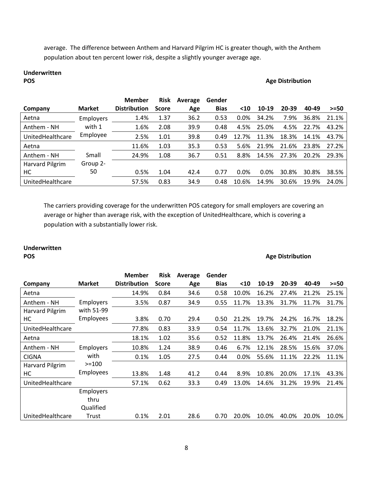average. The difference between Anthem and Harvard Pilgrim HC is greater though, with the Anthem population about ten percent lower risk, despite a slightly younger average age.

# **Underwritten**

# **Age Distribution**

|                  |                  | <b>Member</b>       | <b>Risk</b>  | Average | Gender      |       |         |       |       |        |
|------------------|------------------|---------------------|--------------|---------|-------------|-------|---------|-------|-------|--------|
| Company          | <b>Market</b>    | <b>Distribution</b> | <b>Score</b> | Age     | <b>Bias</b> | $10$  | 10-19   | 20-39 | 40-49 | $>=50$ |
| Aetna            | <b>Employers</b> | 1.4%                | 1.37         | 36.2    | 0.53        | 0.0%  | 34.2%   | 7.9%  | 36.8% | 21.1%  |
| Anthem - NH      | with 1           | 1.6%                | 2.08         | 39.9    | 0.48        | 4.5%  | 25.0%   | 4.5%  | 22.7% | 43.2%  |
| UnitedHealthcare | Employee         | 2.5%                | 1.01         | 39.8    | 0.49        | 12.7% | 11.3%   | 18.3% | 14.1% | 43.7%  |
| Aetna            |                  | 11.6%               | 1.03         | 35.3    | 0.53        | 5.6%  | 21.9%   | 21.6% | 23.8% | 27.2%  |
| Anthem - NH      | Small            | 24.9%               | 1.08         | 36.7    | 0.51        | 8.8%  | 14.5%   | 27.3% | 20.2% | 29.3%  |
| Harvard Pilgrim  | Group 2-         |                     |              |         |             |       |         |       |       |        |
| НC               | 50               | 0.5%                | 1.04         | 42.4    | 0.77        | 0.0%  | $0.0\%$ | 30.8% | 30.8% | 38.5%  |
| UnitedHealthcare |                  | 57.5%               | 0.83         | 34.9    | 0.48        | 10.6% | 14.9%   | 30.6% | 19.9% | 24.0%  |

The carriers providing coverage for the underwritten POS category for small employers are covering an average or higher than average risk, with the exception of UnitedHealthcare, which is covering a population with a substantially lower risk.

# **Underwritten**

### **POS Age Distribution**

| Company          | <b>Market</b>    | <b>Member</b><br><b>Distribution</b> | <b>Risk</b><br><b>Score</b> | Average<br>Age | Gender<br><b>Bias</b> | $10$  | 10-19 | 20-39 | 40-49 | $>=50$ |
|------------------|------------------|--------------------------------------|-----------------------------|----------------|-----------------------|-------|-------|-------|-------|--------|
| Aetna            |                  | 14.9%                                | 0.84                        | 34.6           | 0.58                  | 10.0% | 16.2% | 27.4% | 21.2% | 25.1%  |
| Anthem - NH      | <b>Employers</b> | 3.5%                                 | 0.87                        | 34.9           | 0.55                  | 11.7% | 13.3% | 31.7% | 11.7% | 31.7%  |
| Harvard Pilgrim  | with 51-99       |                                      |                             |                |                       |       |       |       |       |        |
| HC               | Employees        | 3.8%                                 | 0.70                        | 29.4           | 0.50                  | 21.2% | 19.7% | 24.2% | 16.7% | 18.2%  |
| UnitedHealthcare |                  | 77.8%                                | 0.83                        | 33.9           | 0.54                  | 11.7% | 13.6% | 32.7% | 21.0% | 21.1%  |
| Aetna            |                  | 18.1%                                | 1.02                        | 35.6           | 0.52                  | 11.8% | 13.7% | 26.4% | 21.4% | 26.6%  |
| Anthem - NH      | <b>Employers</b> | 10.8%                                | 1.24                        | 38.9           | 0.46                  | 6.7%  | 12.1% | 28.5% | 15.6% | 37.0%  |
| <b>CIGNA</b>     | with             | 0.1%                                 | 1.05                        | 27.5           | 0.44                  | 0.0%  | 55.6% | 11.1% | 22.2% | 11.1%  |
| Harvard Pilgrim  | $>=100$          |                                      |                             |                |                       |       |       |       |       |        |
| HC               | Employees        | 13.8%                                | 1.48                        | 41.2           | 0.44                  | 8.9%  | 10.8% | 20.0% | 17.1% | 43.3%  |
| UnitedHealthcare |                  | 57.1%                                | 0.62                        | 33.3           | 0.49                  | 13.0% | 14.6% | 31.2% | 19.9% | 21.4%  |
|                  | <b>Employers</b> |                                      |                             |                |                       |       |       |       |       |        |
|                  | thru             |                                      |                             |                |                       |       |       |       |       |        |
|                  | Qualified        |                                      |                             |                |                       |       |       |       |       |        |
| UnitedHealthcare | Trust            | 0.1%                                 | 2.01                        | 28.6           | 0.70                  | 20.0% | 10.0% | 40.0% | 20.0% | 10.0%  |